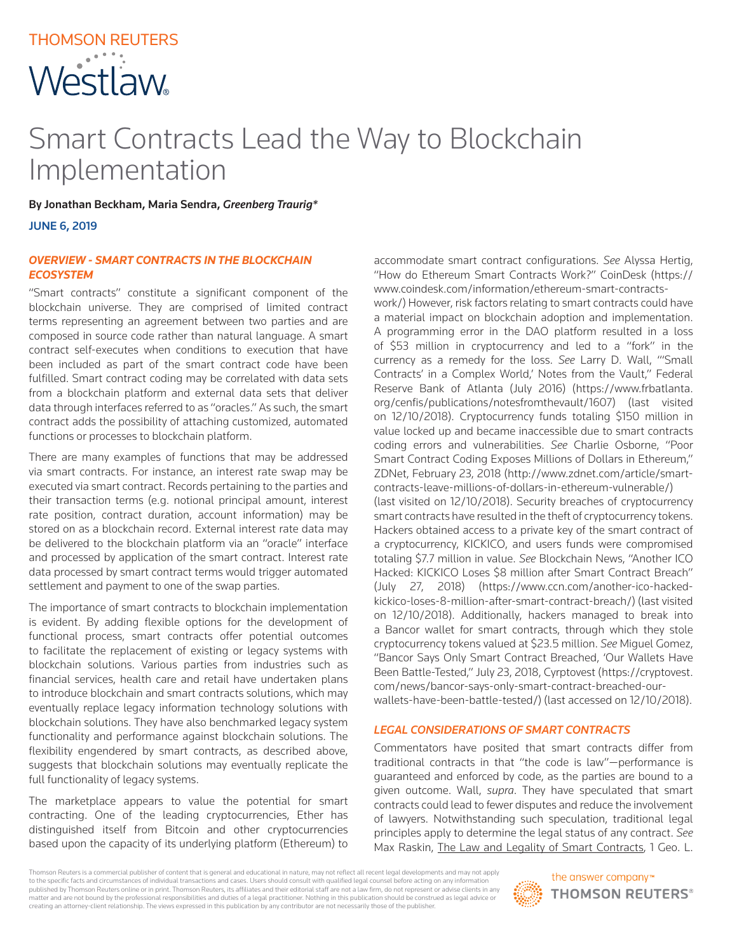# THOMSON REUTERS Westlaw

# Smart Contracts Lead the Way to Blockchain Implementation

By Jonathan Beckham, Maria Sendra, *Greenberg Traurig\**

JUNE 6, 2019

## *OVERVIEW - SMART CONTRACTS IN THE BLOCKCHAIN ECOSYSTEM*

"Smart contracts" constitute a significant component of the blockchain universe. They are comprised of limited contract terms representing an agreement between two parties and are composed in source code rather than natural language. A smart contract self-executes when conditions to execution that have been included as part of the smart contract code have been fulfilled. Smart contract coding may be correlated with data sets from a blockchain platform and external data sets that deliver data through interfaces referred to as "oracles." As such, the smart contract adds the possibility of attaching customized, automated functions or processes to blockchain platform.

There are many examples of functions that may be addressed via smart contracts. For instance, an interest rate swap may be executed via smart contract. Records pertaining to the parties and their transaction terms (e.g. notional principal amount, interest rate position, contract duration, account information) may be stored on as a blockchain record. External interest rate data may be delivered to the blockchain platform via an "oracle" interface and processed by application of the smart contract. Interest rate data processed by smart contract terms would trigger automated settlement and payment to one of the swap parties.

The importance of smart contracts to blockchain implementation is evident. By adding flexible options for the development of functional process, smart contracts offer potential outcomes to facilitate the replacement of existing or legacy systems with blockchain solutions. Various parties from industries such as financial services, health care and retail have undertaken plans to introduce blockchain and smart contracts solutions, which may eventually replace legacy information technology solutions with blockchain solutions. They have also benchmarked legacy system functionality and performance against blockchain solutions. The flexibility engendered by smart contracts, as described above, suggests that blockchain solutions may eventually replicate the full functionality of legacy systems.

The marketplace appears to value the potential for smart contracting. One of the leading cryptocurrencies, Ether has distinguished itself from Bitcoin and other cryptocurrencies based upon the capacity of its underlying platform (Ethereum) to

accommodate smart contract configurations. *See* Alyssa Hertig, "How do Ethereum Smart Contracts Work?" CoinDesk (https:// www.coindesk.com/information/ethereum-smart-contracts-

work/) However, risk factors relating to smart contracts could have a material impact on blockchain adoption and implementation. A programming error in the DAO platform resulted in a loss of \$53 million in cryptocurrency and led to a "fork" in the currency as a remedy for the loss. *See* Larry D. Wall, "'Small Contracts' in a Complex World,' Notes from the Vault," Federal Reserve Bank of Atlanta (July 2016) (https://www.frbatlanta. org/cenfis/publications/notesfromthevault/1607) (last visited on 12/10/2018). Cryptocurrency funds totaling \$150 million in value locked up and became inaccessible due to smart contracts coding errors and vulnerabilities. *See* Charlie Osborne, "Poor Smart Contract Coding Exposes Millions of Dollars in Ethereum," ZDNet, February 23, 2018 (http://www.zdnet.com/article/smartcontracts-leave-millions-of-dollars-in-ethereum-vulnerable/) (last visited on 12/10/2018). Security breaches of cryptocurrency smart contracts have resulted in the theft of cryptocurrency tokens. Hackers obtained access to a private key of the smart contract of a cryptocurrency, KICKICO, and users funds were compromised totaling \$7.7 million in value. *See* Blockchain News, "Another ICO Hacked: KICKICO Loses \$8 million after Smart Contract Breach" (July 27, 2018) (https://www.ccn.com/another-ico-hackedkickico-loses-8-million-after-smart-contract-breach/) (last visited on 12/10/2018). Additionally, hackers managed to break into a Bancor wallet for smart contracts, through which they stole cryptocurrency tokens valued at \$23.5 million. *See* Miguel Gomez, "Bancor Says Only Smart Contract Breached, 'Our Wallets Have Been Battle-Tested," July 23, 2018, Cyrptovest (https://cryptovest. com/news/bancor-says-only-smart-contract-breached-ourwallets-have-been-battle-tested/) (last accessed on 12/10/2018).

#### *LEGAL CONSIDERATIONS OF SMART CONTRACTS*

Commentators have posited that smart contracts differ from traditional contracts in that "the code is law"—performance is guaranteed and enforced by code, as the parties are bound to a given outcome. Wall, *supra*. They have speculated that smart contracts could lead to fewer disputes and reduce the involvement of lawyers. Notwithstanding such speculation, traditional legal principles apply to determine the legal status of any contract. *See* Max Raskin, The Law and Legality of Smart Contracts, 1 Geo. L.

Thomson Reuters is a commercial publisher of content that is general and educational in nature, may not reflect all recent legal developments and may not apply to the specific facts and circumstances of individual transactions and cases. Users should consult with qualified legal counsel before acting on any information published by Thomson Reuters online or in print. Thomson Reuters, its affiliates and their editorial staff are not a law firm, do not represent or advise clients in any matter and are not bound by the professional responsibilities and duties of a legal practitioner. Nothing in this publication should be construed as legal advice or creating an attorney-client relationship. The views expressed in this publication by any contributor are not necessarily those of the publisher.

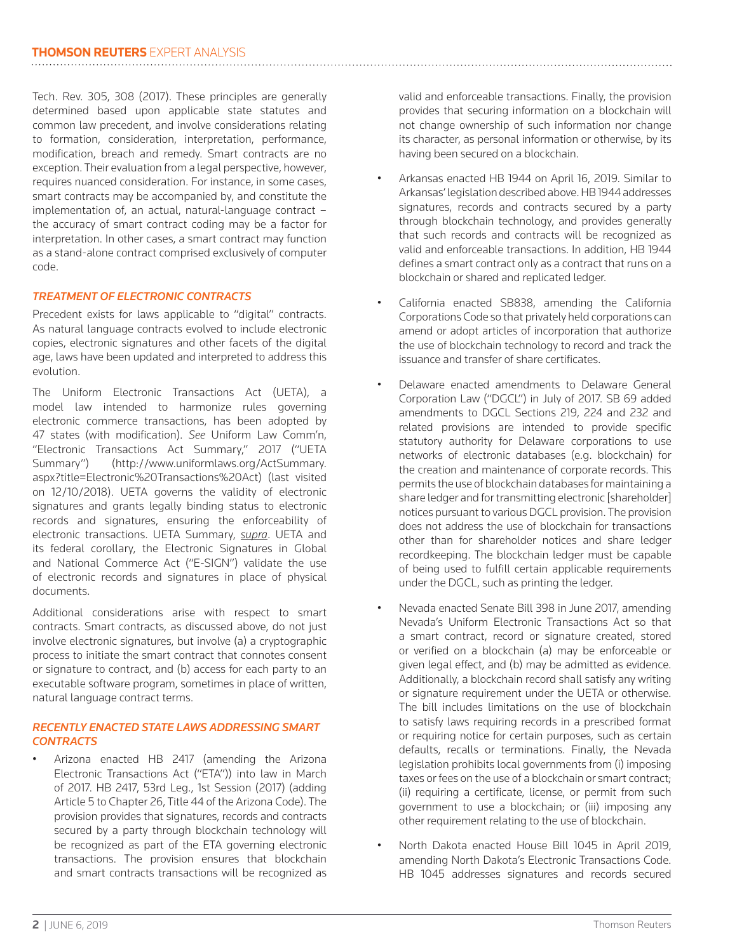Tech. Rev. 305, 308 (2017). These principles are generally determined based upon applicable state statutes and common law precedent, and involve considerations relating to formation, consideration, interpretation, performance, modification, breach and remedy. Smart contracts are no exception. Their evaluation from a legal perspective, however, requires nuanced consideration. For instance, in some cases, smart contracts may be accompanied by, and constitute the implementation of, an actual, natural-language contract – the accuracy of smart contract coding may be a factor for interpretation. In other cases, a smart contract may function as a stand-alone contract comprised exclusively of computer code.

# *TREATMENT OF ELECTRONIC CONTRACTS*

Precedent exists for laws applicable to "digital" contracts. As natural language contracts evolved to include electronic copies, electronic signatures and other facets of the digital age, laws have been updated and interpreted to address this evolution.

The Uniform Electronic Transactions Act (UETA), a model law intended to harmonize rules governing electronic commerce transactions, has been adopted by 47 states (with modification). *See* Uniform Law Comm'n, "Electronic Transactions Act Summary," 2017 ("UETA Summary") (http://www.uniformlaws.org/ActSummary. aspx?title=Electronic%20Transactions%20Act) (last visited on 12/10/2018). UETA governs the validity of electronic signatures and grants legally binding status to electronic records and signatures, ensuring the enforceability of electronic transactions. UETA Summary, *supra*. UETA and its federal corollary, the Electronic Signatures in Global and National Commerce Act ("E-SIGN") validate the use of electronic records and signatures in place of physical documents.

Additional considerations arise with respect to smart contracts. Smart contracts, as discussed above, do not just involve electronic signatures, but involve (a) a cryptographic process to initiate the smart contract that connotes consent or signature to contract, and (b) access for each party to an executable software program, sometimes in place of written, natural language contract terms.

# *RECENTLY ENACTED STATE LAWS ADDRESSING SMART CONTRACTS*

• Arizona enacted HB 2417 (amending the Arizona Electronic Transactions Act ("ETA")) into law in March of 2017. HB 2417, 53rd Leg., 1st Session (2017) (adding Article 5 to Chapter 26, Title 44 of the Arizona Code). The provision provides that signatures, records and contracts secured by a party through blockchain technology will be recognized as part of the ETA governing electronic transactions. The provision ensures that blockchain and smart contracts transactions will be recognized as valid and enforceable transactions. Finally, the provision provides that securing information on a blockchain will not change ownership of such information nor change its character, as personal information or otherwise, by its having been secured on a blockchain.

- Arkansas enacted HB 1944 on April 16, 2019. Similar to Arkansas' legislation described above. HB 1944 addresses signatures, records and contracts secured by a party through blockchain technology, and provides generally that such records and contracts will be recognized as valid and enforceable transactions. In addition, HB 1944 defines a smart contract only as a contract that runs on a blockchain or shared and replicated ledger.
- California enacted SB838, amending the California Corporations Code so that privately held corporations can amend or adopt articles of incorporation that authorize the use of blockchain technology to record and track the issuance and transfer of share certificates.
- Delaware enacted amendments to Delaware General Corporation Law ("DGCL") in July of 2017. SB 69 added amendments to DGCL Sections 219, 224 and 232 and related provisions are intended to provide specific statutory authority for Delaware corporations to use networks of electronic databases (e.g. blockchain) for the creation and maintenance of corporate records. This permits the use of blockchain databases for maintaining a share ledger and for transmitting electronic [shareholder] notices pursuant to various DGCL provision. The provision does not address the use of blockchain for transactions other than for shareholder notices and share ledger recordkeeping. The blockchain ledger must be capable of being used to fulfill certain applicable requirements under the DGCL, such as printing the ledger.
- Nevada enacted Senate Bill 398 in June 2017, amending Nevada's Uniform Electronic Transactions Act so that a smart contract, record or signature created, stored or verified on a blockchain (a) may be enforceable or given legal effect, and (b) may be admitted as evidence. Additionally, a blockchain record shall satisfy any writing or signature requirement under the UETA or otherwise. The bill includes limitations on the use of blockchain to satisfy laws requiring records in a prescribed format or requiring notice for certain purposes, such as certain defaults, recalls or terminations. Finally, the Nevada legislation prohibits local governments from (i) imposing taxes or fees on the use of a blockchain or smart contract; (ii) requiring a certificate, license, or permit from such government to use a blockchain; or (iii) imposing any other requirement relating to the use of blockchain.
- North Dakota enacted House Bill 1045 in April 2019, amending North Dakota's Electronic Transactions Code. HB 1045 addresses signatures and records secured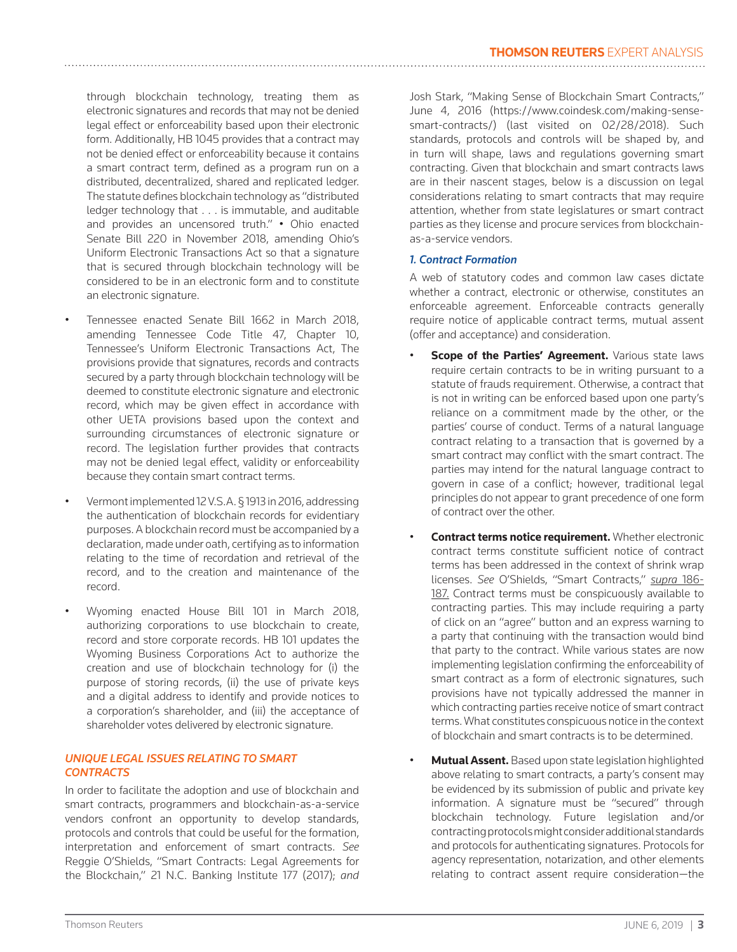through blockchain technology, treating them as electronic signatures and records that may not be denied legal effect or enforceability based upon their electronic form. Additionally, HB 1045 provides that a contract may not be denied effect or enforceability because it contains a smart contract term, defined as a program run on a distributed, decentralized, shared and replicated ledger. The statute defines blockchain technology as "distributed ledger technology that . . . is immutable, and auditable and provides an uncensored truth." • Ohio enacted Senate Bill 220 in November 2018, amending Ohio's Uniform Electronic Transactions Act so that a signature that is secured through blockchain technology will be considered to be in an electronic form and to constitute an electronic signature.

- Tennessee enacted Senate Bill 1662 in March 2018, amending Tennessee Code Title 47, Chapter 10, Tennessee's Uniform Electronic Transactions Act, The provisions provide that signatures, records and contracts secured by a party through blockchain technology will be deemed to constitute electronic signature and electronic record, which may be given effect in accordance with other UETA provisions based upon the context and surrounding circumstances of electronic signature or record. The legislation further provides that contracts may not be denied legal effect, validity or enforceability because they contain smart contract terms.
- Vermont implemented 12 V.S.A. § 1913 in 2016, addressing the authentication of blockchain records for evidentiary purposes. A blockchain record must be accompanied by a declaration, made under oath, certifying as to information relating to the time of recordation and retrieval of the record, and to the creation and maintenance of the record.
- Wyoming enacted House Bill 101 in March 2018, authorizing corporations to use blockchain to create, record and store corporate records. HB 101 updates the Wyoming Business Corporations Act to authorize the creation and use of blockchain technology for (i) the purpose of storing records, (ii) the use of private keys and a digital address to identify and provide notices to a corporation's shareholder, and (iii) the acceptance of shareholder votes delivered by electronic signature.

#### *UNIQUE LEGAL ISSUES RELATING TO SMART CONTRACTS*

In order to facilitate the adoption and use of blockchain and smart contracts, programmers and blockchain-as-a-service vendors confront an opportunity to develop standards, protocols and controls that could be useful for the formation, interpretation and enforcement of smart contracts. *See* Reggie O'Shields, "Smart Contracts: Legal Agreements for the Blockchain," 21 N.C. Banking Institute 177 (2017); *and*

Josh Stark, "Making Sense of Blockchain Smart Contracts," June 4, 2016 (https://www.coindesk.com/making-sensesmart-contracts/) (last visited on 02/28/2018). Such standards, protocols and controls will be shaped by, and in turn will shape, laws and regulations governing smart contracting. Given that blockchain and smart contracts laws are in their nascent stages, below is a discussion on legal considerations relating to smart contracts that may require attention, whether from state legislatures or smart contract parties as they license and procure services from blockchainas-a-service vendors.

# *1. Contract Formation*

A web of statutory codes and common law cases dictate whether a contract, electronic or otherwise, constitutes an enforceable agreement. Enforceable contracts generally require notice of applicable contract terms, mutual assent (offer and acceptance) and consideration.

- **Scope of the Parties' Agreement.** Various state laws require certain contracts to be in writing pursuant to a statute of frauds requirement. Otherwise, a contract that is not in writing can be enforced based upon one party's reliance on a commitment made by the other, or the parties' course of conduct. Terms of a natural language contract relating to a transaction that is governed by a smart contract may conflict with the smart contract. The parties may intend for the natural language contract to govern in case of a conflict; however, traditional legal principles do not appear to grant precedence of one form of contract over the other.
- **Contract terms notice requirement.** Whether electronic contract terms constitute sufficient notice of contract terms has been addressed in the context of shrink wrap licenses. *See* O'Shields, "Smart Contracts," *supra* 186- 187. Contract terms must be conspicuously available to contracting parties. This may include requiring a party of click on an "agree" button and an express warning to a party that continuing with the transaction would bind that party to the contract. While various states are now implementing legislation confirming the enforceability of smart contract as a form of electronic signatures, such provisions have not typically addressed the manner in which contracting parties receive notice of smart contract terms. What constitutes conspicuous notice in the context of blockchain and smart contracts is to be determined.
- **Mutual Assent.** Based upon state legislation highlighted above relating to smart contracts, a party's consent may be evidenced by its submission of public and private key information. A signature must be "secured" through blockchain technology. Future legislation and/or contracting protocols might consider additional standards and protocols for authenticating signatures. Protocols for agency representation, notarization, and other elements relating to contract assent require consideration—the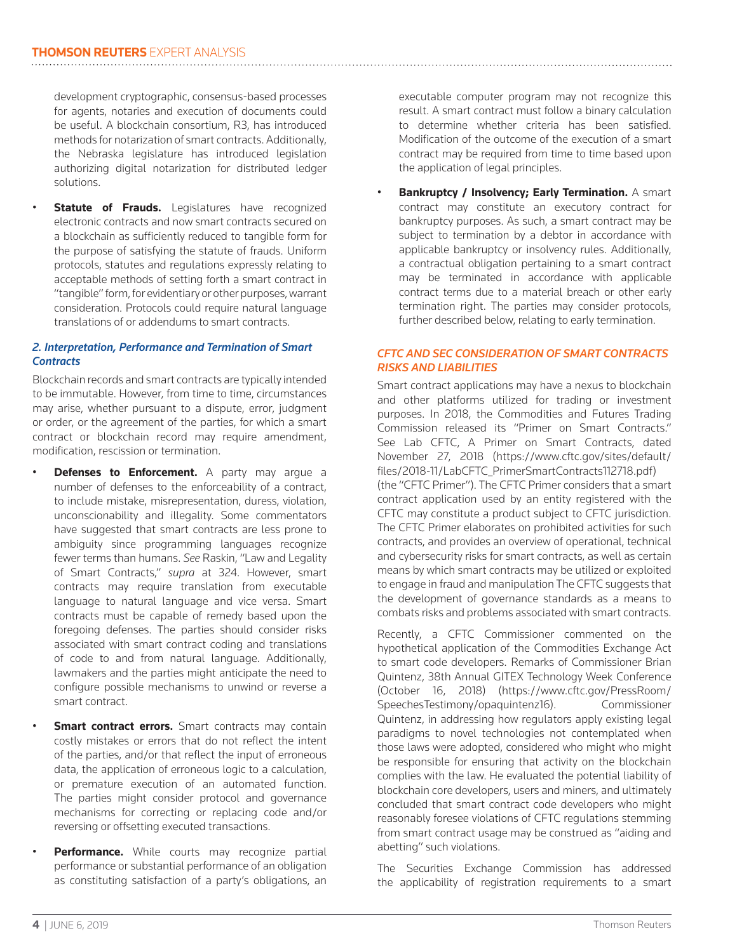development cryptographic, consensus-based processes for agents, notaries and execution of documents could be useful. A blockchain consortium, R3, has introduced methods for notarization of smart contracts. Additionally, the Nebraska legislature has introduced legislation authorizing digital notarization for distributed ledger solutions.

**Statute of Frauds.** Legislatures have recognized electronic contracts and now smart contracts secured on a blockchain as sufficiently reduced to tangible form for the purpose of satisfying the statute of frauds. Uniform protocols, statutes and regulations expressly relating to acceptable methods of setting forth a smart contract in "tangible" form, for evidentiary or other purposes, warrant consideration. Protocols could require natural language translations of or addendums to smart contracts.

## *2. Interpretation, Performance and Termination of Smart Contracts*

Blockchain records and smart contracts are typically intended to be immutable. However, from time to time, circumstances may arise, whether pursuant to a dispute, error, judgment or order, or the agreement of the parties, for which a smart contract or blockchain record may require amendment, modification, rescission or termination.

- **Defenses to Enforcement.** A party may arque a number of defenses to the enforceability of a contract, to include mistake, misrepresentation, duress, violation, unconscionability and illegality. Some commentators have suggested that smart contracts are less prone to ambiguity since programming languages recognize fewer terms than humans. *See* Raskin, "Law and Legality of Smart Contracts," *supra* at 324. However, smart contracts may require translation from executable language to natural language and vice versa. Smart contracts must be capable of remedy based upon the foregoing defenses. The parties should consider risks associated with smart contract coding and translations of code to and from natural language. Additionally, lawmakers and the parties might anticipate the need to configure possible mechanisms to unwind or reverse a smart contract.
- **Smart contract errors.** Smart contracts may contain costly mistakes or errors that do not reflect the intent of the parties, and/or that reflect the input of erroneous data, the application of erroneous logic to a calculation, or premature execution of an automated function. The parties might consider protocol and governance mechanisms for correcting or replacing code and/or reversing or offsetting executed transactions.
- **Performance.** While courts may recognize partial performance or substantial performance of an obligation as constituting satisfaction of a party's obligations, an

executable computer program may not recognize this result. A smart contract must follow a binary calculation to determine whether criteria has been satisfied. Modification of the outcome of the execution of a smart contract may be required from time to time based upon the application of legal principles.

• **Bankruptcy / Insolvency; Early Termination.** A smart contract may constitute an executory contract for bankruptcy purposes. As such, a smart contract may be subject to termination by a debtor in accordance with applicable bankruptcy or insolvency rules. Additionally, a contractual obligation pertaining to a smart contract may be terminated in accordance with applicable contract terms due to a material breach or other early termination right. The parties may consider protocols, further described below, relating to early termination.

# *CFTC AND SEC CONSIDERATION OF SMART CONTRACTS RISKS AND LIABILITIES*

Smart contract applications may have a nexus to blockchain and other platforms utilized for trading or investment purposes. In 2018, the Commodities and Futures Trading Commission released its "Primer on Smart Contracts." See Lab CFTC, A Primer on Smart Contracts, dated November 27, 2018 (https://www.cftc.gov/sites/default/ files/2018-11/LabCFTC\_PrimerSmartContracts112718.pdf) (the "CFTC Primer"). The CFTC Primer considers that a smart contract application used by an entity registered with the CFTC may constitute a product subject to CFTC jurisdiction. The CFTC Primer elaborates on prohibited activities for such contracts, and provides an overview of operational, technical and cybersecurity risks for smart contracts, as well as certain means by which smart contracts may be utilized or exploited to engage in fraud and manipulation The CFTC suggests that the development of governance standards as a means to combats risks and problems associated with smart contracts.

Recently, a CFTC Commissioner commented on the hypothetical application of the Commodities Exchange Act to smart code developers. Remarks of Commissioner Brian Quintenz, 38th Annual GITEX Technology Week Conference (October 16, 2018) (https://www.cftc.gov/PressRoom/ SpeechesTestimony/opaquintenz16). Commissioner Quintenz, in addressing how regulators apply existing legal paradigms to novel technologies not contemplated when those laws were adopted, considered who might who might be responsible for ensuring that activity on the blockchain complies with the law. He evaluated the potential liability of blockchain core developers, users and miners, and ultimately concluded that smart contract code developers who might reasonably foresee violations of CFTC regulations stemming from smart contract usage may be construed as "aiding and abetting" such violations.

The Securities Exchange Commission has addressed the applicability of registration requirements to a smart